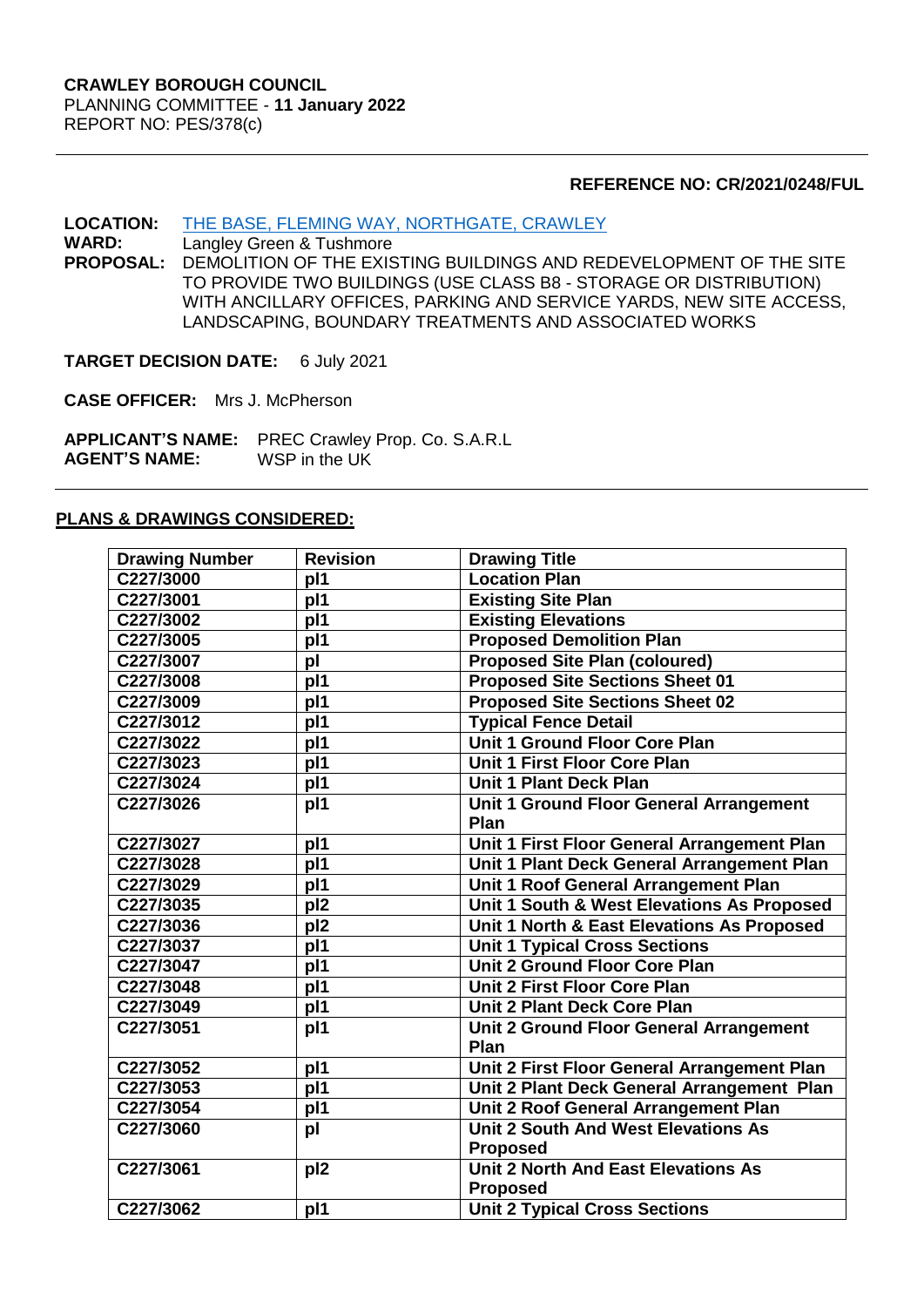#### **REFERENCE NO: CR/2021/0248/FUL**

**LOCATION:** [THE BASE, FLEMING WAY, NORTHGATE, CRAWLEY](https://planningregister.crawley.gov.uk/Planning/Display/CR/2021/0248/FUL#SupportingDocumentsTab)<br> **WARD:** Langley Green & Tushmore

Langley Green & Tushmore **PROPOSAL:** DEMOLITION OF THE EXISTING BUILDINGS AND REDEVELOPMENT OF THE SITE TO PROVIDE TWO BUILDINGS (USE CLASS B8 - STORAGE OR DISTRIBUTION) WITH ANCILLARY OFFICES, PARKING AND SERVICE YARDS, NEW SITE ACCESS, LANDSCAPING, BOUNDARY TREATMENTS AND ASSOCIATED WORKS

**TARGET DECISION DATE:** 6 July 2021

**CASE OFFICER:** Mrs J. McPherson

**APPLICANT'S NAME:** PREC Crawley Prop. Co. S.A.R.L **AGENT'S NAME:** 

#### **PLANS & DRAWINGS CONSIDERED:**

| <b>Drawing Number</b> | <b>Revision</b> | <b>Drawing Title</b>                           |
|-----------------------|-----------------|------------------------------------------------|
| C227/3000             | pl1             | <b>Location Plan</b>                           |
| C227/3001             | pl1             | <b>Existing Site Plan</b>                      |
| C227/3002             | pl1             | <b>Existing Elevations</b>                     |
| C227/3005             | pl1             | <b>Proposed Demolition Plan</b>                |
| C227/3007             | pl              | <b>Proposed Site Plan (coloured)</b>           |
| C227/3008             | pl1             | <b>Proposed Site Sections Sheet 01</b>         |
| C227/3009             | pi11            | <b>Proposed Site Sections Sheet 02</b>         |
| C227/3012             | pl1             | <b>Typical Fence Detail</b>                    |
| C227/3022             | pl1             | <b>Unit 1 Ground Floor Core Plan</b>           |
| C227/3023             | pi11            | <b>Unit 1 First Floor Core Plan</b>            |
| C227/3024             | pl1             | <b>Unit 1 Plant Deck Plan</b>                  |
| C227/3026             | pl1             | <b>Unit 1 Ground Floor General Arrangement</b> |
|                       |                 | Plan                                           |
| C227/3027             | pl1             | Unit 1 First Floor General Arrangement Plan    |
| C227/3028             | pl1             | Unit 1 Plant Deck General Arrangement Plan     |
| C227/3029             | pl1             | Unit 1 Roof General Arrangement Plan           |
| C227/3035             | pl <sub>2</sub> | Unit 1 South & West Elevations As Proposed     |
| C227/3036             | pl <sub>2</sub> | Unit 1 North & East Elevations As Proposed     |
| C227/3037             | pi11            | <b>Unit 1 Typical Cross Sections</b>           |
| C227/3047             | p <sub>11</sub> | <b>Unit 2 Ground Floor Core Plan</b>           |
| C227/3048             | pl1             | <b>Unit 2 First Floor Core Plan</b>            |
| C227/3049             | pl1             | <b>Unit 2 Plant Deck Core Plan</b>             |
| C227/3051             | pl1             | <b>Unit 2 Ground Floor General Arrangement</b> |
|                       |                 | Plan                                           |
| C227/3052             | pl1             | Unit 2 First Floor General Arrangement Plan    |
| C227/3053             | pl1             | Unit 2 Plant Deck General Arrangement Plan     |
| C227/3054             | pl1             | Unit 2 Roof General Arrangement Plan           |
| C227/3060             | pl              | <b>Unit 2 South And West Elevations As</b>     |
|                       |                 | <b>Proposed</b>                                |
| C227/3061             | pl <sub>2</sub> | <b>Unit 2 North And East Elevations As</b>     |
|                       |                 | <b>Proposed</b>                                |
| C227/3062             | pl1             | <b>Unit 2 Typical Cross Sections</b>           |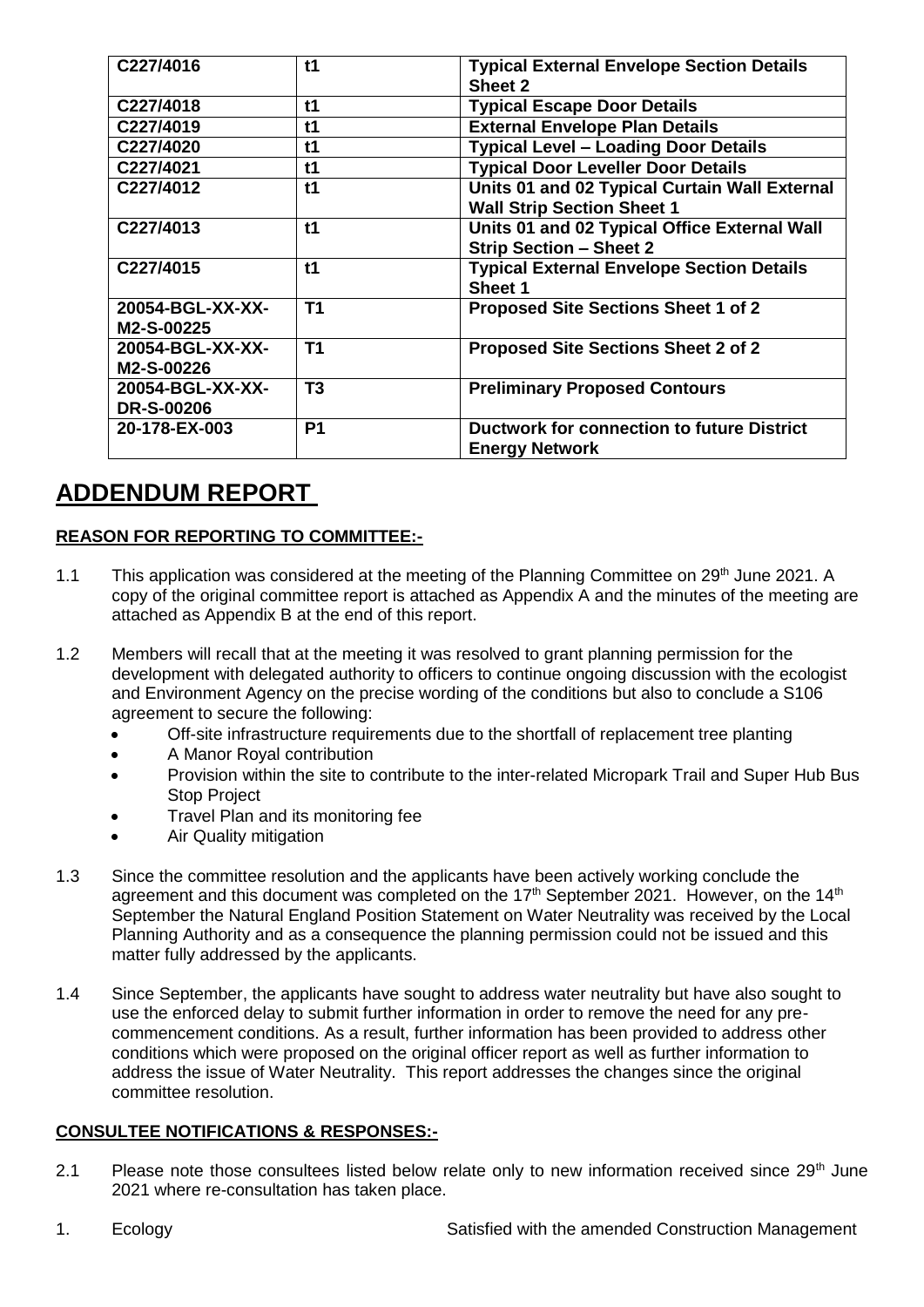| C227/4016                             | t1             | <b>Typical External Envelope Section Details</b><br>Sheet 2                        |
|---------------------------------------|----------------|------------------------------------------------------------------------------------|
| C227/4018                             | t1             | <b>Typical Escape Door Details</b>                                                 |
| C227/4019                             | t1             | <b>External Envelope Plan Details</b>                                              |
| C227/4020                             | t1             | <b>Typical Level - Loading Door Details</b>                                        |
| C227/4021                             | t1             | <b>Typical Door Leveller Door Details</b>                                          |
| C227/4012                             | t1             | Units 01 and 02 Typical Curtain Wall External<br><b>Wall Strip Section Sheet 1</b> |
| C227/4013                             | t1             | Units 01 and 02 Typical Office External Wall<br><b>Strip Section - Sheet 2</b>     |
| C227/4015                             | t1             | <b>Typical External Envelope Section Details</b><br>Sheet 1                        |
| 20054-BGL-XX-XX-<br>M2-S-00225        | T <sub>1</sub> | <b>Proposed Site Sections Sheet 1 of 2</b>                                         |
| 20054-BGL-XX-XX-<br>M2-S-00226        | T <sub>1</sub> | <b>Proposed Site Sections Sheet 2 of 2</b>                                         |
| 20054-BGL-XX-XX-<br><b>DR-S-00206</b> | T <sub>3</sub> | <b>Preliminary Proposed Contours</b>                                               |
| 20-178-EX-003                         | P <sub>1</sub> | <b>Ductwork for connection to future District</b><br><b>Energy Network</b>         |

# **ADDENDUM REPORT**

# **REASON FOR REPORTING TO COMMITTEE:-**

- 1.1 This application was considered at the meeting of the Planning Committee on 29<sup>th</sup> June 2021. A copy of the original committee report is attached as Appendix A and the minutes of the meeting are attached as Appendix B at the end of this report.
- 1.2 Members will recall that at the meeting it was resolved to grant planning permission for the development with delegated authority to officers to continue ongoing discussion with the ecologist and Environment Agency on the precise wording of the conditions but also to conclude a S106 agreement to secure the following:
	- Off-site infrastructure requirements due to the shortfall of replacement tree planting
	- A Manor Royal contribution
	- Provision within the site to contribute to the inter-related Micropark Trail and Super Hub Bus Stop Project
	- Travel Plan and its monitoring fee
	- Air Quality mitigation
- 1.3 Since the committee resolution and the applicants have been actively working conclude the agreement and this document was completed on the 17<sup>th</sup> September 2021. However, on the 14<sup>th</sup> September the Natural England Position Statement on Water Neutrality was received by the Local Planning Authority and as a consequence the planning permission could not be issued and this matter fully addressed by the applicants.
- 1.4 Since September, the applicants have sought to address water neutrality but have also sought to use the enforced delay to submit further information in order to remove the need for any precommencement conditions. As a result, further information has been provided to address other conditions which were proposed on the original officer report as well as further information to address the issue of Water Neutrality. This report addresses the changes since the original committee resolution.

## **CONSULTEE NOTIFICATIONS & RESPONSES:-**

- 2.1 Please note those consultees listed below relate only to new information received since  $29<sup>th</sup>$  June 2021 where re-consultation has taken place.
-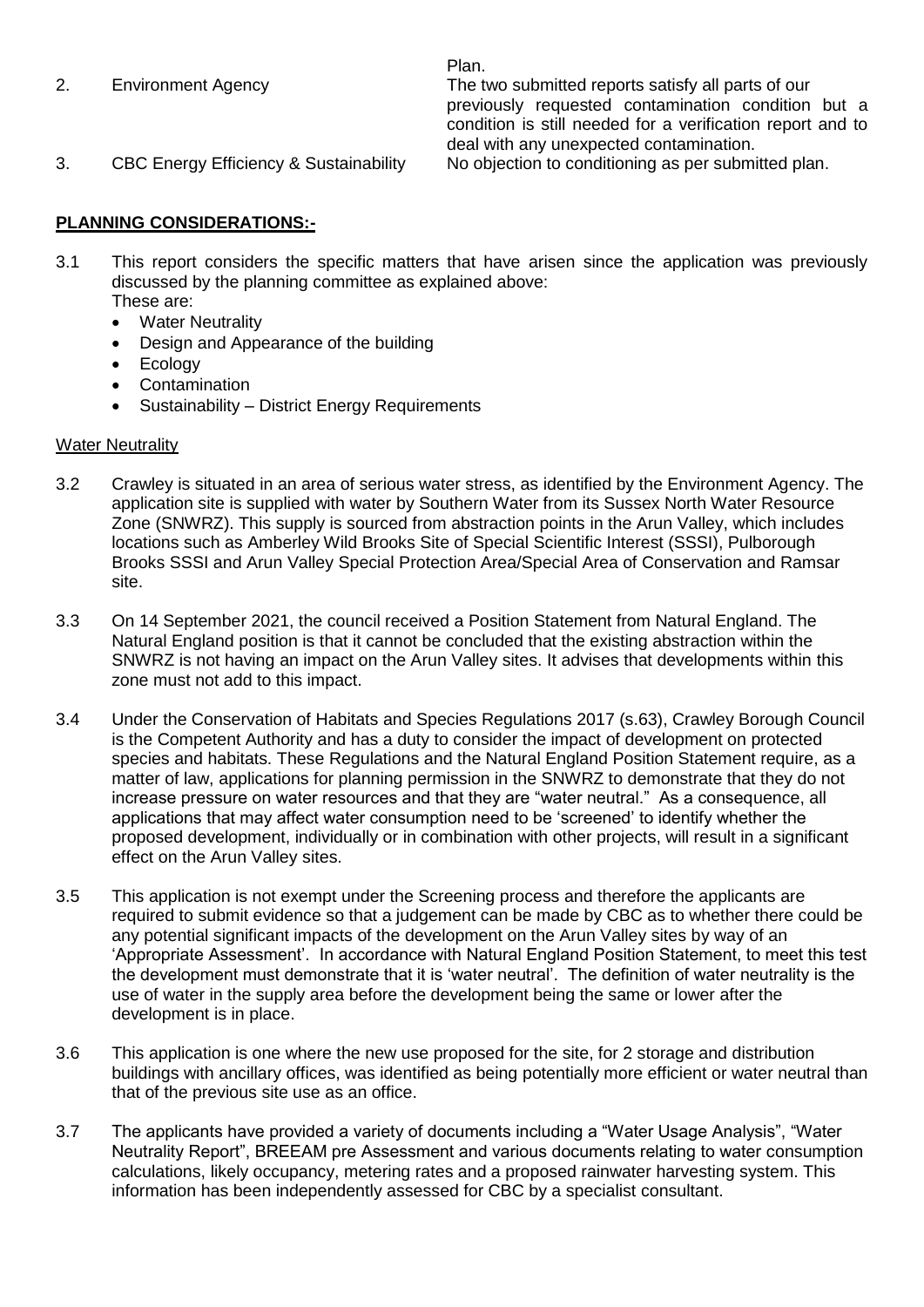Plan.

2. Environment Agency The two submitted reports satisfy all parts of our previously requested contamination condition but a condition is still needed for a verification report and to deal with any unexpected contamination. 3. CBC Energy Efficiency & Sustainability No objection to conditioning as per submitted plan.

# **PLANNING CONSIDERATIONS:-**

- 3.1 This report considers the specific matters that have arisen since the application was previously discussed by the planning committee as explained above: These are:
	- Water Neutrality
	- Design and Appearance of the building
	- Ecology
	- Contamination
	- Sustainability District Energy Requirements

## Water Neutrality

- 3.2 Crawley is situated in an area of serious water stress, as identified by the Environment Agency. The application site is supplied with water by Southern Water from its Sussex North Water Resource Zone (SNWRZ). This supply is sourced from abstraction points in the Arun Valley, which includes locations such as Amberley Wild Brooks Site of Special Scientific Interest (SSSI), Pulborough Brooks SSSI and Arun Valley Special Protection Area/Special Area of Conservation and Ramsar site.
- 3.3 On 14 September 2021, the council received a Position Statement from Natural England. The Natural England position is that it cannot be concluded that the existing abstraction within the SNWRZ is not having an impact on the Arun Valley sites. It advises that developments within this zone must not add to this impact.
- 3.4 Under the Conservation of Habitats and Species Regulations 2017 (s.63), Crawley Borough Council is the Competent Authority and has a duty to consider the impact of development on protected species and habitats. These Regulations and the Natural England Position Statement require, as a matter of law, applications for planning permission in the SNWRZ to demonstrate that they do not increase pressure on water resources and that they are "water neutral." As a consequence, all applications that may affect water consumption need to be 'screened' to identify whether the proposed development, individually or in combination with other projects, will result in a significant effect on the Arun Valley sites.
- 3.5 This application is not exempt under the Screening process and therefore the applicants are required to submit evidence so that a judgement can be made by CBC as to whether there could be any potential significant impacts of the development on the Arun Valley sites by way of an 'Appropriate Assessment'. In accordance with Natural England Position Statement, to meet this test the development must demonstrate that it is 'water neutral'. The definition of water neutrality is the use of water in the supply area before the development being the same or lower after the development is in place.
- 3.6 This application is one where the new use proposed for the site, for 2 storage and distribution buildings with ancillary offices, was identified as being potentially more efficient or water neutral than that of the previous site use as an office.
- 3.7 The applicants have provided a variety of documents including a "Water Usage Analysis", "Water Neutrality Report", BREEAM pre Assessment and various documents relating to water consumption calculations, likely occupancy, metering rates and a proposed rainwater harvesting system. This information has been independently assessed for CBC by a specialist consultant.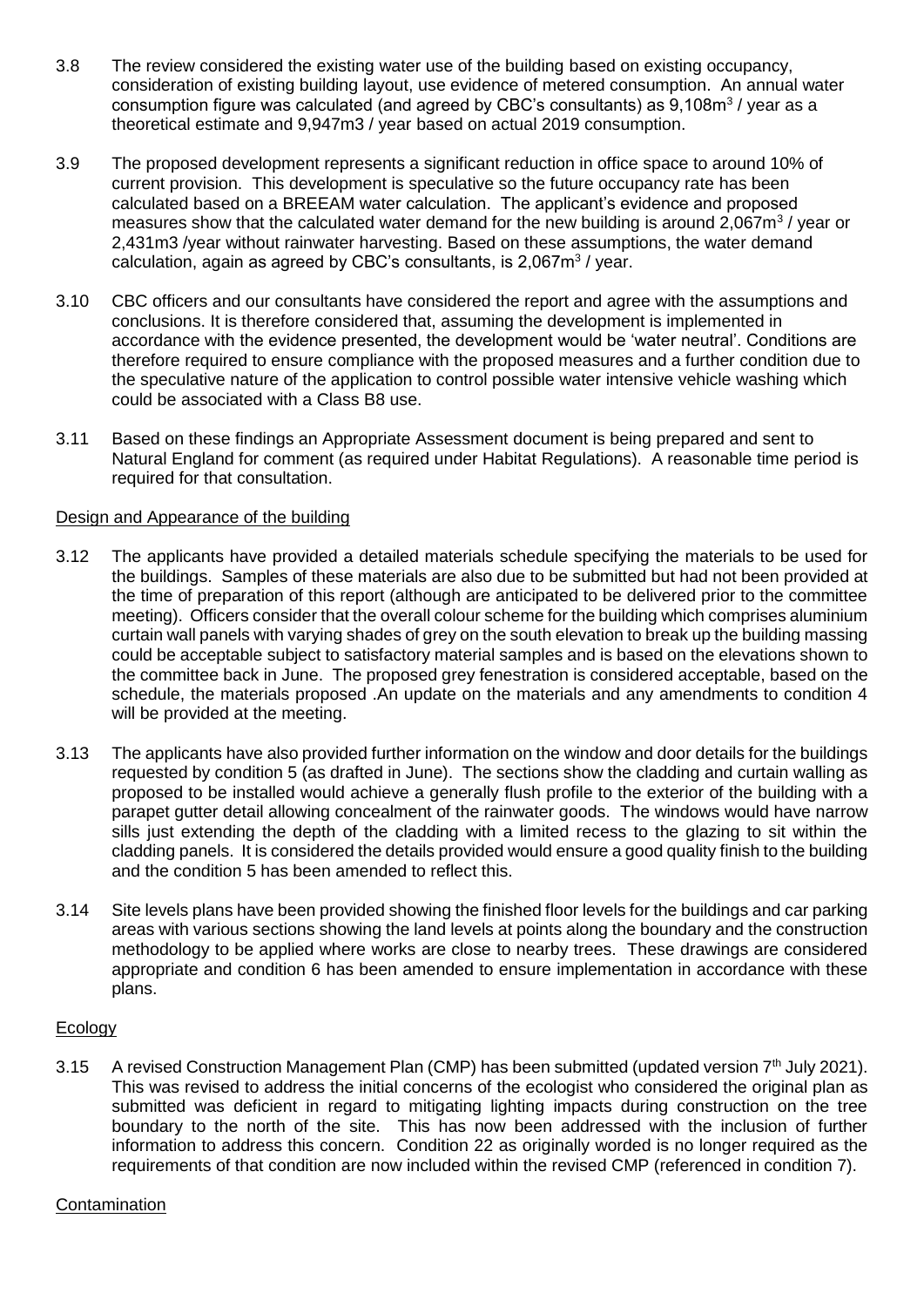- 3.8 The review considered the existing water use of the building based on existing occupancy, consideration of existing building layout, use evidence of metered consumption. An annual water consumption figure was calculated (and agreed by CBC's consultants) as  $9,108m^3$  / year as a theoretical estimate and 9,947m3 / year based on actual 2019 consumption.
- 3.9 The proposed development represents a significant reduction in office space to around 10% of current provision. This development is speculative so the future occupancy rate has been calculated based on a BREEAM water calculation. The applicant's evidence and proposed measures show that the calculated water demand for the new building is around 2,067 $m^3$  / year or 2,431m3 /year without rainwater harvesting. Based on these assumptions, the water demand calculation, again as agreed by CBC's consultants, is 2,067m<sup>3</sup> / year.
- 3.10 CBC officers and our consultants have considered the report and agree with the assumptions and conclusions. It is therefore considered that, assuming the development is implemented in accordance with the evidence presented, the development would be 'water neutral'. Conditions are therefore required to ensure compliance with the proposed measures and a further condition due to the speculative nature of the application to control possible water intensive vehicle washing which could be associated with a Class B8 use.
- 3.11 Based on these findings an Appropriate Assessment document is being prepared and sent to Natural England for comment (as required under Habitat Regulations). A reasonable time period is required for that consultation.

### Design and Appearance of the building

- 3.12 The applicants have provided a detailed materials schedule specifying the materials to be used for the buildings. Samples of these materials are also due to be submitted but had not been provided at the time of preparation of this report (although are anticipated to be delivered prior to the committee meeting). Officers consider that the overall colour scheme for the building which comprises aluminium curtain wall panels with varying shades of grey on the south elevation to break up the building massing could be acceptable subject to satisfactory material samples and is based on the elevations shown to the committee back in June. The proposed grey fenestration is considered acceptable, based on the schedule, the materials proposed .An update on the materials and any amendments to condition 4 will be provided at the meeting.
- 3.13 The applicants have also provided further information on the window and door details for the buildings requested by condition 5 (as drafted in June). The sections show the cladding and curtain walling as proposed to be installed would achieve a generally flush profile to the exterior of the building with a parapet gutter detail allowing concealment of the rainwater goods. The windows would have narrow sills just extending the depth of the cladding with a limited recess to the glazing to sit within the cladding panels. It is considered the details provided would ensure a good quality finish to the building and the condition 5 has been amended to reflect this.
- 3.14 Site levels plans have been provided showing the finished floor levels for the buildings and car parking areas with various sections showing the land levels at points along the boundary and the construction methodology to be applied where works are close to nearby trees. These drawings are considered appropriate and condition 6 has been amended to ensure implementation in accordance with these plans.

### **Ecology**

3.15 A revised Construction Management Plan (CMP) has been submitted (updated version  $7<sup>th</sup>$  July 2021). This was revised to address the initial concerns of the ecologist who considered the original plan as submitted was deficient in regard to mitigating lighting impacts during construction on the tree boundary to the north of the site. This has now been addressed with the inclusion of further information to address this concern. Condition 22 as originally worded is no longer required as the requirements of that condition are now included within the revised CMP (referenced in condition 7).

### **Contamination**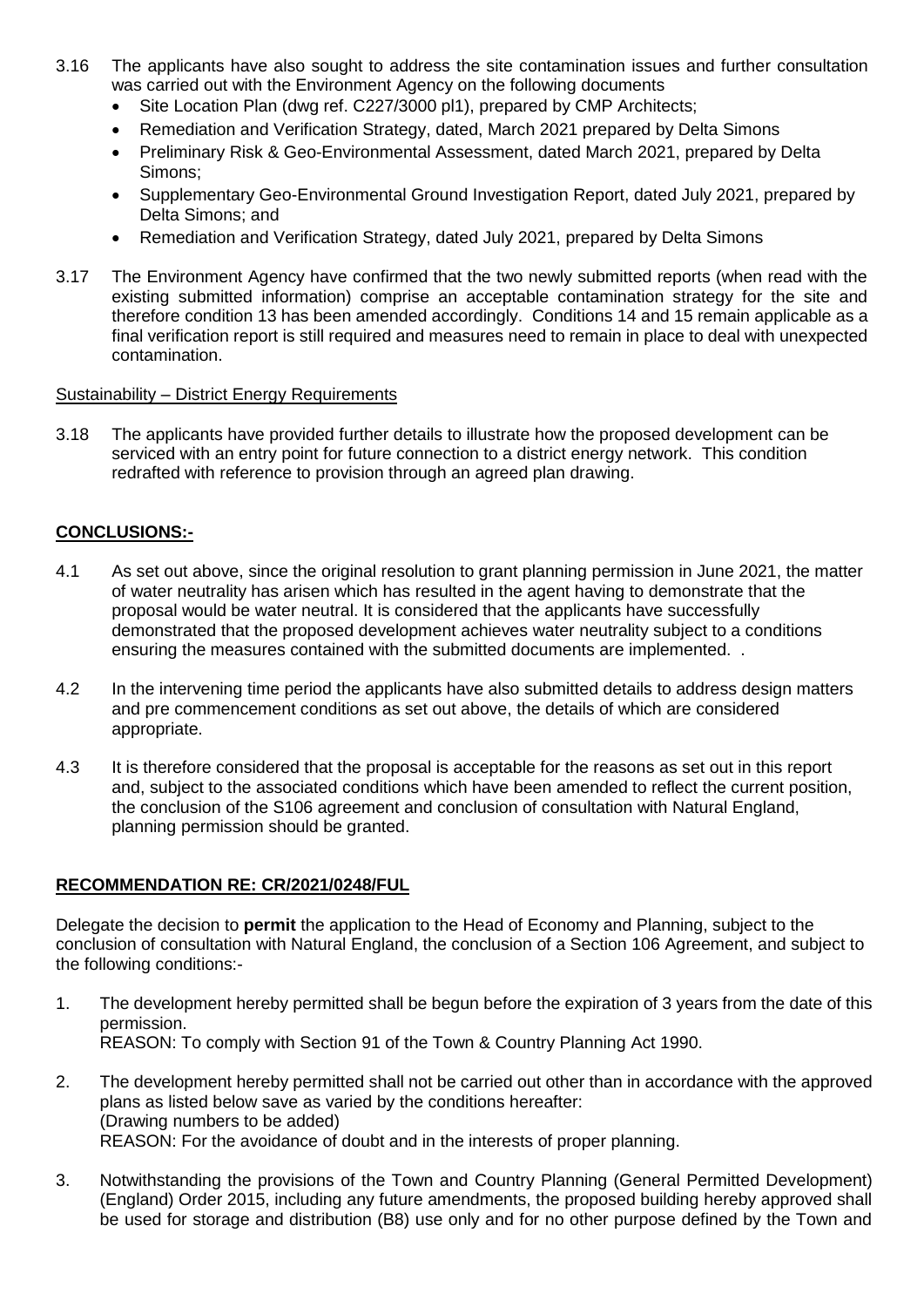- 3.16 The applicants have also sought to address the site contamination issues and further consultation was carried out with the Environment Agency on the following documents
	- Site Location Plan (dwg ref. C227/3000 pl1), prepared by CMP Architects;
	- Remediation and Verification Strategy, dated, March 2021 prepared by Delta Simons
	- Preliminary Risk & Geo-Environmental Assessment, dated March 2021, prepared by Delta Simons;
	- Supplementary Geo-Environmental Ground Investigation Report, dated July 2021, prepared by Delta Simons; and
	- Remediation and Verification Strategy, dated July 2021, prepared by Delta Simons
- 3.17 The Environment Agency have confirmed that the two newly submitted reports (when read with the existing submitted information) comprise an acceptable contamination strategy for the site and therefore condition 13 has been amended accordingly. Conditions 14 and 15 remain applicable as a final verification report is still required and measures need to remain in place to deal with unexpected contamination.

#### Sustainability – District Energy Requirements

3.18 The applicants have provided further details to illustrate how the proposed development can be serviced with an entry point for future connection to a district energy network. This condition redrafted with reference to provision through an agreed plan drawing.

## **CONCLUSIONS:-**

- 4.1 As set out above, since the original resolution to grant planning permission in June 2021, the matter of water neutrality has arisen which has resulted in the agent having to demonstrate that the proposal would be water neutral. It is considered that the applicants have successfully demonstrated that the proposed development achieves water neutrality subject to a conditions ensuring the measures contained with the submitted documents are implemented. .
- 4.2 In the intervening time period the applicants have also submitted details to address design matters and pre commencement conditions as set out above, the details of which are considered appropriate.
- 4.3 It is therefore considered that the proposal is acceptable for the reasons as set out in this report and, subject to the associated conditions which have been amended to reflect the current position, the conclusion of the S106 agreement and conclusion of consultation with Natural England, planning permission should be granted.

### **RECOMMENDATION RE: CR/2021/0248/FUL**

Delegate the decision to **permit** the application to the Head of Economy and Planning, subject to the conclusion of consultation with Natural England, the conclusion of a Section 106 Agreement, and subject to the following conditions:-

- 1. The development hereby permitted shall be begun before the expiration of 3 years from the date of this permission. REASON: To comply with Section 91 of the Town & Country Planning Act 1990.
- 2. The development hereby permitted shall not be carried out other than in accordance with the approved plans as listed below save as varied by the conditions hereafter: (Drawing numbers to be added) REASON: For the avoidance of doubt and in the interests of proper planning.
- 3. Notwithstanding the provisions of the Town and Country Planning (General Permitted Development) (England) Order 2015, including any future amendments, the proposed building hereby approved shall be used for storage and distribution (B8) use only and for no other purpose defined by the Town and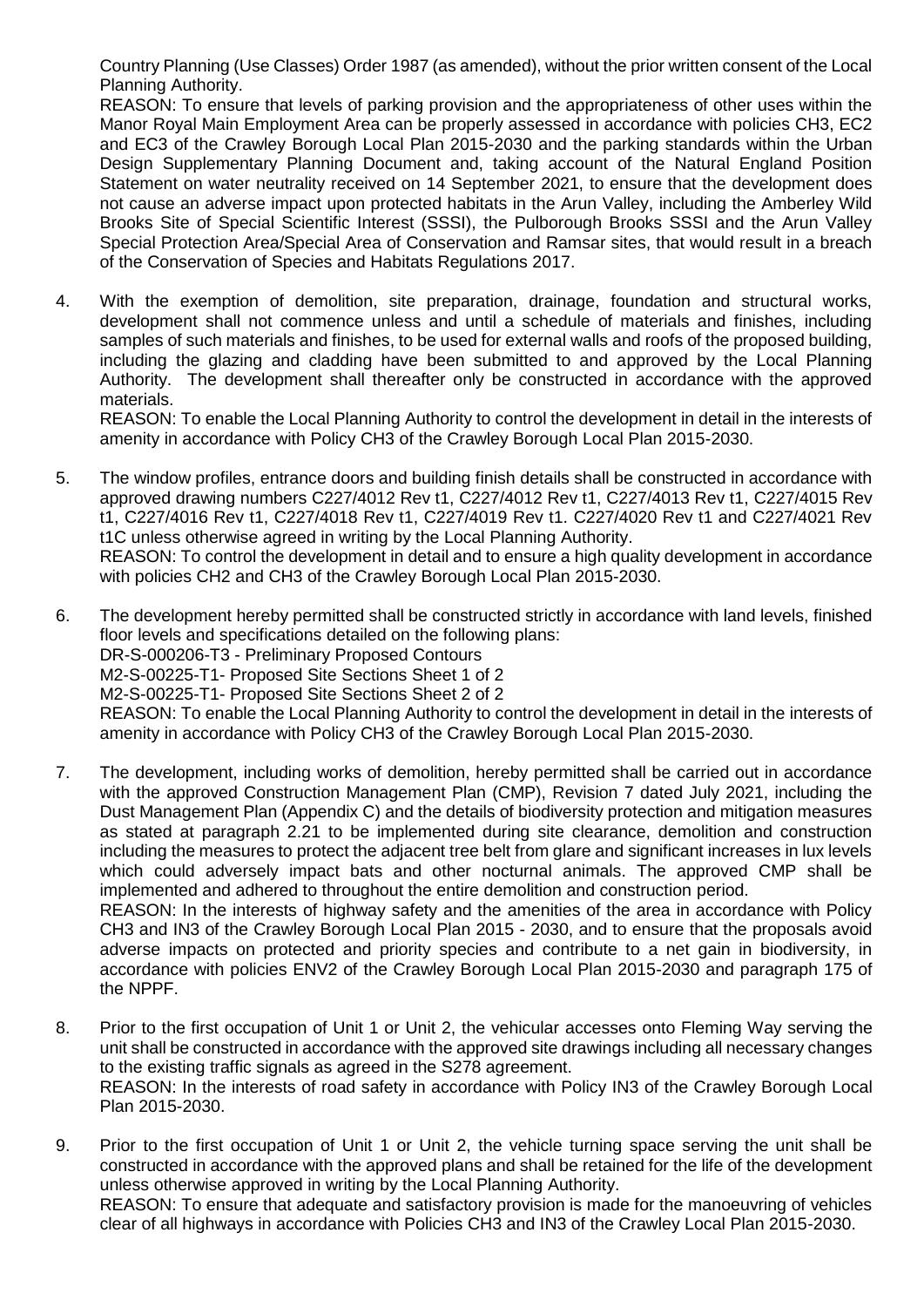Country Planning (Use Classes) Order 1987 (as amended), without the prior written consent of the Local Planning Authority.

REASON: To ensure that levels of parking provision and the appropriateness of other uses within the Manor Royal Main Employment Area can be properly assessed in accordance with policies CH3, EC2 and EC3 of the Crawley Borough Local Plan 2015-2030 and the parking standards within the Urban Design Supplementary Planning Document and, taking account of the Natural England Position Statement on water neutrality received on 14 September 2021, to ensure that the development does not cause an adverse impact upon protected habitats in the Arun Valley, including the Amberley Wild Brooks Site of Special Scientific Interest (SSSI), the Pulborough Brooks SSSI and the Arun Valley Special Protection Area/Special Area of Conservation and Ramsar sites, that would result in a breach of the Conservation of Species and Habitats Regulations 2017.

4. With the exemption of demolition, site preparation, drainage, foundation and structural works, development shall not commence unless and until a schedule of materials and finishes, including samples of such materials and finishes, to be used for external walls and roofs of the proposed building, including the glazing and cladding have been submitted to and approved by the Local Planning Authority. The development shall thereafter only be constructed in accordance with the approved materials.

REASON: To enable the Local Planning Authority to control the development in detail in the interests of amenity in accordance with Policy CH3 of the Crawley Borough Local Plan 2015-2030.

- 5. The window profiles, entrance doors and building finish details shall be constructed in accordance with approved drawing numbers C227/4012 Rev t1, C227/4012 Rev t1, C227/4013 Rev t1, C227/4015 Rev t1, C227/4016 Rev t1, C227/4018 Rev t1, C227/4019 Rev t1. C227/4020 Rev t1 and C227/4021 Rev t1C unless otherwise agreed in writing by the Local Planning Authority. REASON: To control the development in detail and to ensure a high quality development in accordance with policies CH2 and CH3 of the Crawley Borough Local Plan 2015-2030.
- 6. The development hereby permitted shall be constructed strictly in accordance with land levels, finished floor levels and specifications detailed on the following plans: DR-S-000206-T3 - Preliminary Proposed Contours M2-S-00225-T1- Proposed Site Sections Sheet 1 of 2 M2-S-00225-T1- Proposed Site Sections Sheet 2 of 2 REASON: To enable the Local Planning Authority to control the development in detail in the interests of amenity in accordance with Policy CH3 of the Crawley Borough Local Plan 2015-2030.
- 7. The development, including works of demolition, hereby permitted shall be carried out in accordance with the approved Construction Management Plan (CMP), Revision 7 dated July 2021, including the Dust Management Plan (Appendix C) and the details of biodiversity protection and mitigation measures as stated at paragraph 2.21 to be implemented during site clearance, demolition and construction including the measures to protect the adjacent tree belt from glare and significant increases in lux levels which could adversely impact bats and other nocturnal animals. The approved CMP shall be implemented and adhered to throughout the entire demolition and construction period. REASON: In the interests of highway safety and the amenities of the area in accordance with Policy

CH3 and IN3 of the Crawley Borough Local Plan 2015 - 2030, and to ensure that the proposals avoid adverse impacts on protected and priority species and contribute to a net gain in biodiversity, in accordance with policies ENV2 of the Crawley Borough Local Plan 2015-2030 and paragraph 175 of the NPPF.

- 8. Prior to the first occupation of Unit 1 or Unit 2, the vehicular accesses onto Fleming Way serving the unit shall be constructed in accordance with the approved site drawings including all necessary changes to the existing traffic signals as agreed in the S278 agreement. REASON: In the interests of road safety in accordance with Policy IN3 of the Crawley Borough Local Plan 2015-2030.
- 9. Prior to the first occupation of Unit 1 or Unit 2, the vehicle turning space serving the unit shall be constructed in accordance with the approved plans and shall be retained for the life of the development unless otherwise approved in writing by the Local Planning Authority. REASON: To ensure that adequate and satisfactory provision is made for the manoeuvring of vehicles clear of all highways in accordance with Policies CH3 and IN3 of the Crawley Local Plan 2015-2030.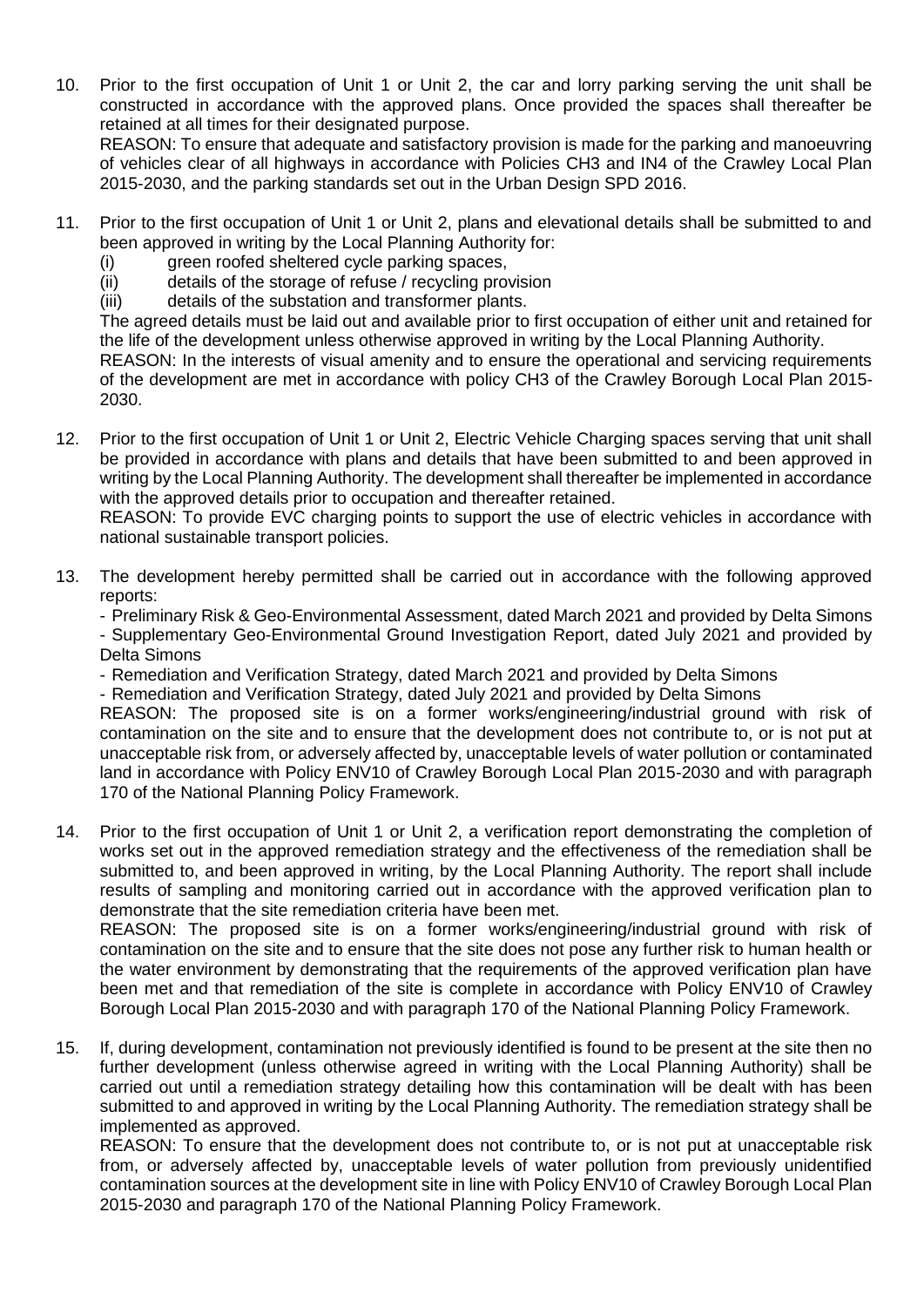10. Prior to the first occupation of Unit 1 or Unit 2, the car and lorry parking serving the unit shall be constructed in accordance with the approved plans. Once provided the spaces shall thereafter be retained at all times for their designated purpose.

REASON: To ensure that adequate and satisfactory provision is made for the parking and manoeuvring of vehicles clear of all highways in accordance with Policies CH3 and IN4 of the Crawley Local Plan 2015-2030, and the parking standards set out in the Urban Design SPD 2016.

- 11. Prior to the first occupation of Unit 1 or Unit 2, plans and elevational details shall be submitted to and been approved in writing by the Local Planning Authority for:
	- (i) green roofed sheltered cycle parking spaces,<br>(ii) details of the storage of refuse / recvcling proj
	- details of the storage of refuse / recycling provision
	- (iii) details of the substation and transformer plants.

The agreed details must be laid out and available prior to first occupation of either unit and retained for the life of the development unless otherwise approved in writing by the Local Planning Authority.

REASON: In the interests of visual amenity and to ensure the operational and servicing requirements of the development are met in accordance with policy CH3 of the Crawley Borough Local Plan 2015- 2030.

12. Prior to the first occupation of Unit 1 or Unit 2, Electric Vehicle Charging spaces serving that unit shall be provided in accordance with plans and details that have been submitted to and been approved in writing by the Local Planning Authority. The development shall thereafter be implemented in accordance with the approved details prior to occupation and thereafter retained.

REASON: To provide EVC charging points to support the use of electric vehicles in accordance with national sustainable transport policies.

13. The development hereby permitted shall be carried out in accordance with the following approved reports:

- Preliminary Risk & Geo-Environmental Assessment, dated March 2021 and provided by Delta Simons

- Supplementary Geo-Environmental Ground Investigation Report, dated July 2021 and provided by Delta Simons

- Remediation and Verification Strategy, dated March 2021 and provided by Delta Simons

- Remediation and Verification Strategy, dated July 2021 and provided by Delta Simons

REASON: The proposed site is on a former works/engineering/industrial ground with risk of contamination on the site and to ensure that the development does not contribute to, or is not put at unacceptable risk from, or adversely affected by, unacceptable levels of water pollution or contaminated land in accordance with Policy ENV10 of Crawley Borough Local Plan 2015-2030 and with paragraph 170 of the National Planning Policy Framework.

14. Prior to the first occupation of Unit 1 or Unit 2, a verification report demonstrating the completion of works set out in the approved remediation strategy and the effectiveness of the remediation shall be submitted to, and been approved in writing, by the Local Planning Authority. The report shall include results of sampling and monitoring carried out in accordance with the approved verification plan to demonstrate that the site remediation criteria have been met.

REASON: The proposed site is on a former works/engineering/industrial ground with risk of contamination on the site and to ensure that the site does not pose any further risk to human health or the water environment by demonstrating that the requirements of the approved verification plan have been met and that remediation of the site is complete in accordance with Policy ENV10 of Crawley Borough Local Plan 2015-2030 and with paragraph 170 of the National Planning Policy Framework.

15. If, during development, contamination not previously identified is found to be present at the site then no further development (unless otherwise agreed in writing with the Local Planning Authority) shall be carried out until a remediation strategy detailing how this contamination will be dealt with has been submitted to and approved in writing by the Local Planning Authority. The remediation strategy shall be implemented as approved.

REASON: To ensure that the development does not contribute to, or is not put at unacceptable risk from, or adversely affected by, unacceptable levels of water pollution from previously unidentified contamination sources at the development site in line with Policy ENV10 of Crawley Borough Local Plan 2015-2030 and paragraph 170 of the National Planning Policy Framework.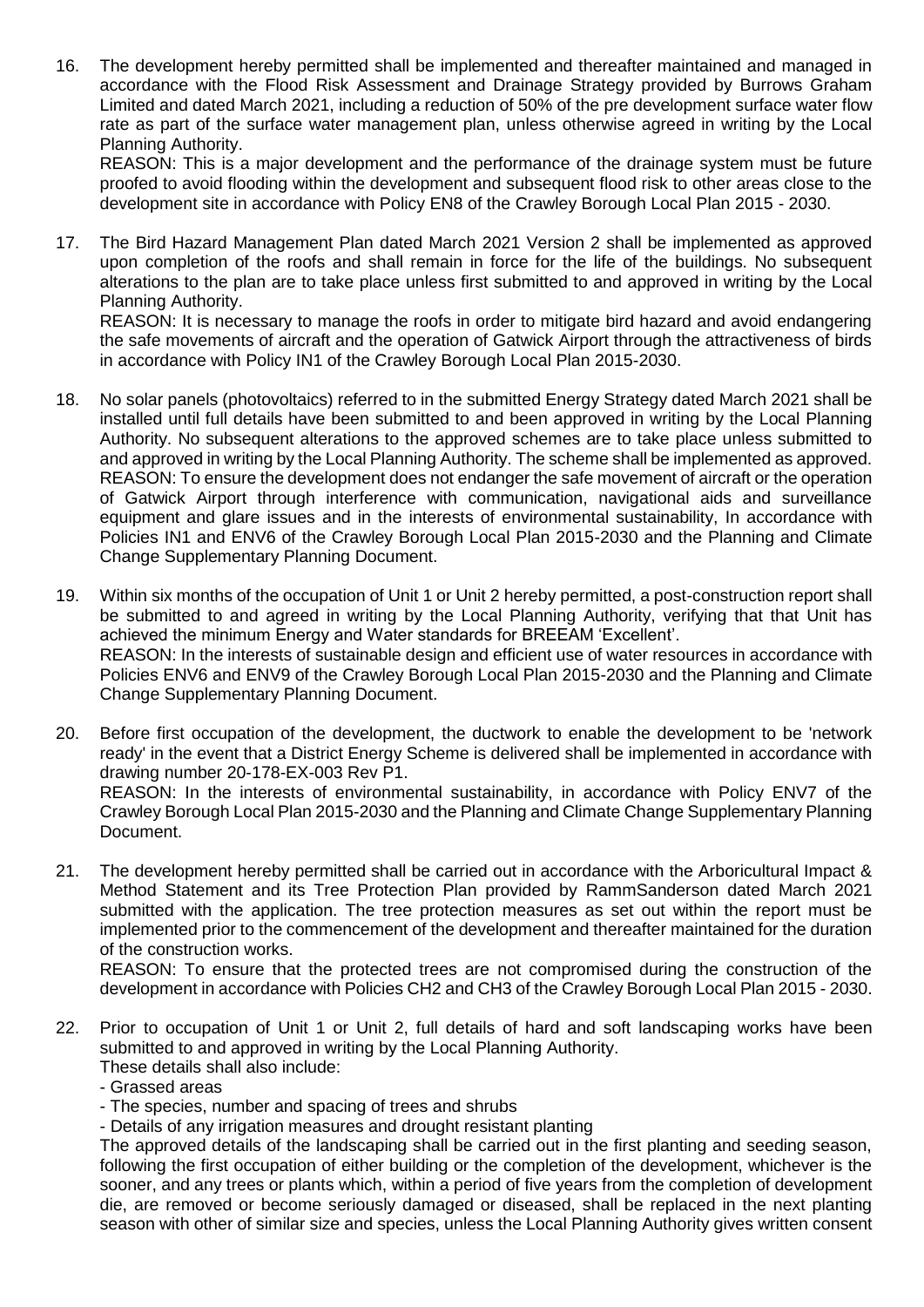16. The development hereby permitted shall be implemented and thereafter maintained and managed in accordance with the Flood Risk Assessment and Drainage Strategy provided by Burrows Graham Limited and dated March 2021, including a reduction of 50% of the pre development surface water flow rate as part of the surface water management plan, unless otherwise agreed in writing by the Local Planning Authority.

REASON: This is a major development and the performance of the drainage system must be future proofed to avoid flooding within the development and subsequent flood risk to other areas close to the development site in accordance with Policy EN8 of the Crawley Borough Local Plan 2015 - 2030.

17. The Bird Hazard Management Plan dated March 2021 Version 2 shall be implemented as approved upon completion of the roofs and shall remain in force for the life of the buildings. No subsequent alterations to the plan are to take place unless first submitted to and approved in writing by the Local Planning Authority.

REASON: It is necessary to manage the roofs in order to mitigate bird hazard and avoid endangering the safe movements of aircraft and the operation of Gatwick Airport through the attractiveness of birds in accordance with Policy IN1 of the Crawley Borough Local Plan 2015-2030.

- 18. No solar panels (photovoltaics) referred to in the submitted Energy Strategy dated March 2021 shall be installed until full details have been submitted to and been approved in writing by the Local Planning Authority. No subsequent alterations to the approved schemes are to take place unless submitted to and approved in writing by the Local Planning Authority. The scheme shall be implemented as approved. REASON: To ensure the development does not endanger the safe movement of aircraft or the operation of Gatwick Airport through interference with communication, navigational aids and surveillance equipment and glare issues and in the interests of environmental sustainability, In accordance with Policies IN1 and ENV6 of the Crawley Borough Local Plan 2015-2030 and the Planning and Climate Change Supplementary Planning Document.
- 19. Within six months of the occupation of Unit 1 or Unit 2 hereby permitted, a post-construction report shall be submitted to and agreed in writing by the Local Planning Authority, verifying that that Unit has achieved the minimum Energy and Water standards for BREEAM 'Excellent'. REASON: In the interests of sustainable design and efficient use of water resources in accordance with Policies ENV6 and ENV9 of the Crawley Borough Local Plan 2015-2030 and the Planning and Climate Change Supplementary Planning Document.
- 20. Before first occupation of the development, the ductwork to enable the development to be 'network ready' in the event that a District Energy Scheme is delivered shall be implemented in accordance with drawing number 20-178-EX-003 Rev P1. REASON: In the interests of environmental sustainability, in accordance with Policy ENV7 of the Crawley Borough Local Plan 2015-2030 and the Planning and Climate Change Supplementary Planning Document.
- 21. The development hereby permitted shall be carried out in accordance with the Arboricultural Impact & Method Statement and its Tree Protection Plan provided by RammSanderson dated March 2021 submitted with the application. The tree protection measures as set out within the report must be implemented prior to the commencement of the development and thereafter maintained for the duration of the construction works.

REASON: To ensure that the protected trees are not compromised during the construction of the development in accordance with Policies CH2 and CH3 of the Crawley Borough Local Plan 2015 - 2030.

- 22. Prior to occupation of Unit 1 or Unit 2, full details of hard and soft landscaping works have been submitted to and approved in writing by the Local Planning Authority.
	- These details shall also include:
	- Grassed areas

- The species, number and spacing of trees and shrubs

- Details of any irrigation measures and drought resistant planting

The approved details of the landscaping shall be carried out in the first planting and seeding season, following the first occupation of either building or the completion of the development, whichever is the sooner, and any trees or plants which, within a period of five years from the completion of development die, are removed or become seriously damaged or diseased, shall be replaced in the next planting season with other of similar size and species, unless the Local Planning Authority gives written consent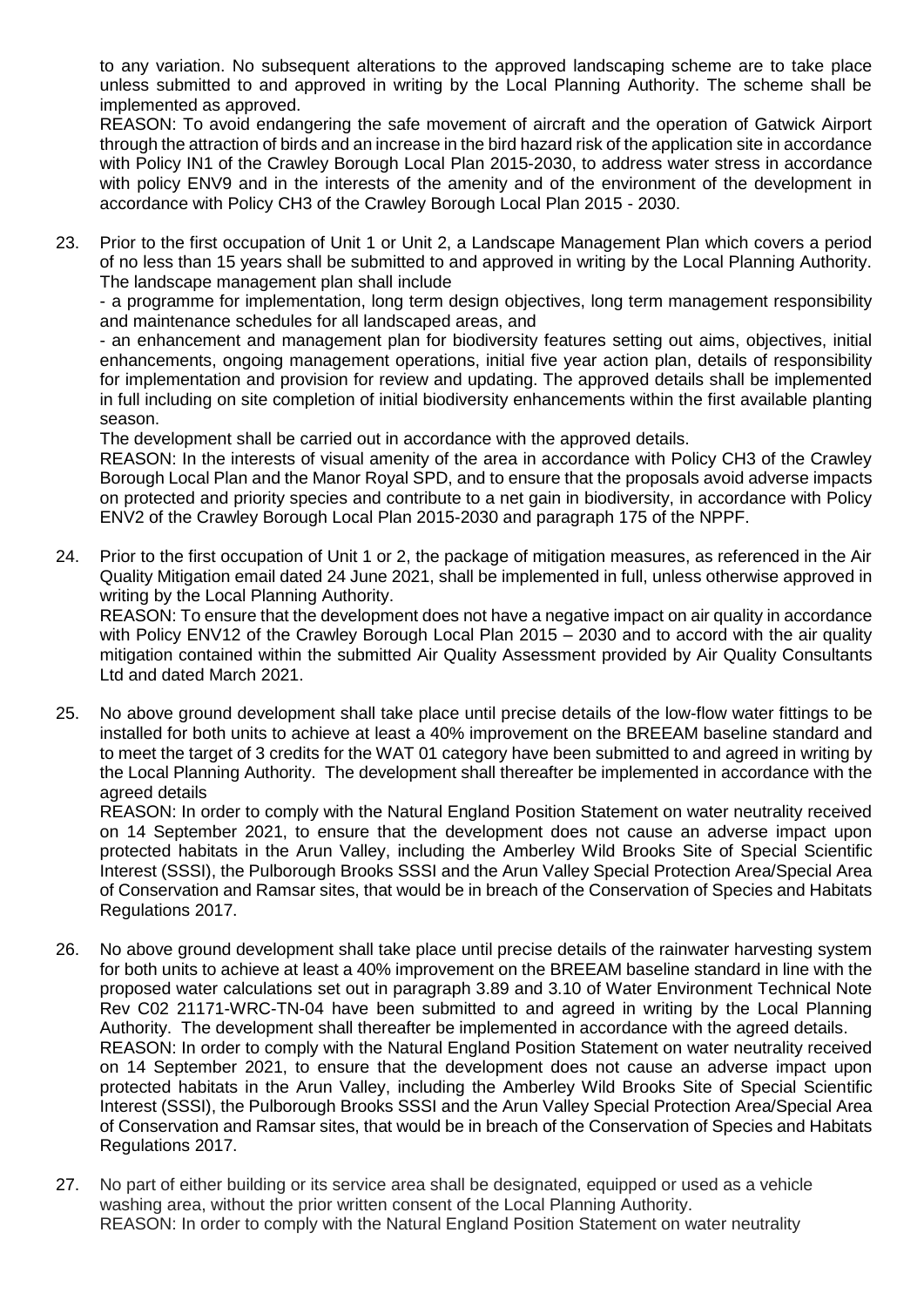to any variation. No subsequent alterations to the approved landscaping scheme are to take place unless submitted to and approved in writing by the Local Planning Authority. The scheme shall be implemented as approved.

REASON: To avoid endangering the safe movement of aircraft and the operation of Gatwick Airport through the attraction of birds and an increase in the bird hazard risk of the application site in accordance with Policy IN1 of the Crawley Borough Local Plan 2015-2030, to address water stress in accordance with policy ENV9 and in the interests of the amenity and of the environment of the development in accordance with Policy CH3 of the Crawley Borough Local Plan 2015 - 2030.

23. Prior to the first occupation of Unit 1 or Unit 2, a Landscape Management Plan which covers a period of no less than 15 years shall be submitted to and approved in writing by the Local Planning Authority. The landscape management plan shall include

- a programme for implementation, long term design objectives, long term management responsibility and maintenance schedules for all landscaped areas, and

- an enhancement and management plan for biodiversity features setting out aims, objectives, initial enhancements, ongoing management operations, initial five year action plan, details of responsibility for implementation and provision for review and updating. The approved details shall be implemented in full including on site completion of initial biodiversity enhancements within the first available planting season.

The development shall be carried out in accordance with the approved details.

REASON: In the interests of visual amenity of the area in accordance with Policy CH3 of the Crawley Borough Local Plan and the Manor Royal SPD, and to ensure that the proposals avoid adverse impacts on protected and priority species and contribute to a net gain in biodiversity, in accordance with Policy ENV2 of the Crawley Borough Local Plan 2015-2030 and paragraph 175 of the NPPF.

24. Prior to the first occupation of Unit 1 or 2, the package of mitigation measures, as referenced in the Air Quality Mitigation email dated 24 June 2021, shall be implemented in full, unless otherwise approved in writing by the Local Planning Authority.

REASON: To ensure that the development does not have a negative impact on air quality in accordance with Policy ENV12 of the Crawley Borough Local Plan 2015 – 2030 and to accord with the air quality mitigation contained within the submitted Air Quality Assessment provided by Air Quality Consultants Ltd and dated March 2021.

25. No above ground development shall take place until precise details of the low-flow water fittings to be installed for both units to achieve at least a 40% improvement on the BREEAM baseline standard and to meet the target of 3 credits for the WAT 01 category have been submitted to and agreed in writing by the Local Planning Authority. The development shall thereafter be implemented in accordance with the agreed details

REASON: In order to comply with the Natural England Position Statement on water neutrality received on 14 September 2021, to ensure that the development does not cause an adverse impact upon protected habitats in the Arun Valley, including the Amberley Wild Brooks Site of Special Scientific Interest (SSSI), the Pulborough Brooks SSSI and the Arun Valley Special Protection Area/Special Area of Conservation and Ramsar sites, that would be in breach of the Conservation of Species and Habitats Regulations 2017.

- 26. No above ground development shall take place until precise details of the rainwater harvesting system for both units to achieve at least a 40% improvement on the BREEAM baseline standard in line with the proposed water calculations set out in paragraph 3.89 and 3.10 of Water Environment Technical Note Rev C02 21171-WRC-TN-04 have been submitted to and agreed in writing by the Local Planning Authority. The development shall thereafter be implemented in accordance with the agreed details. REASON: In order to comply with the Natural England Position Statement on water neutrality received on 14 September 2021, to ensure that the development does not cause an adverse impact upon protected habitats in the Arun Valley, including the Amberley Wild Brooks Site of Special Scientific Interest (SSSI), the Pulborough Brooks SSSI and the Arun Valley Special Protection Area/Special Area of Conservation and Ramsar sites, that would be in breach of the Conservation of Species and Habitats Regulations 2017.
- 27. No part of either building or its service area shall be designated, equipped or used as a vehicle washing area, without the prior written consent of the Local Planning Authority. REASON: In order to comply with the Natural England Position Statement on water neutrality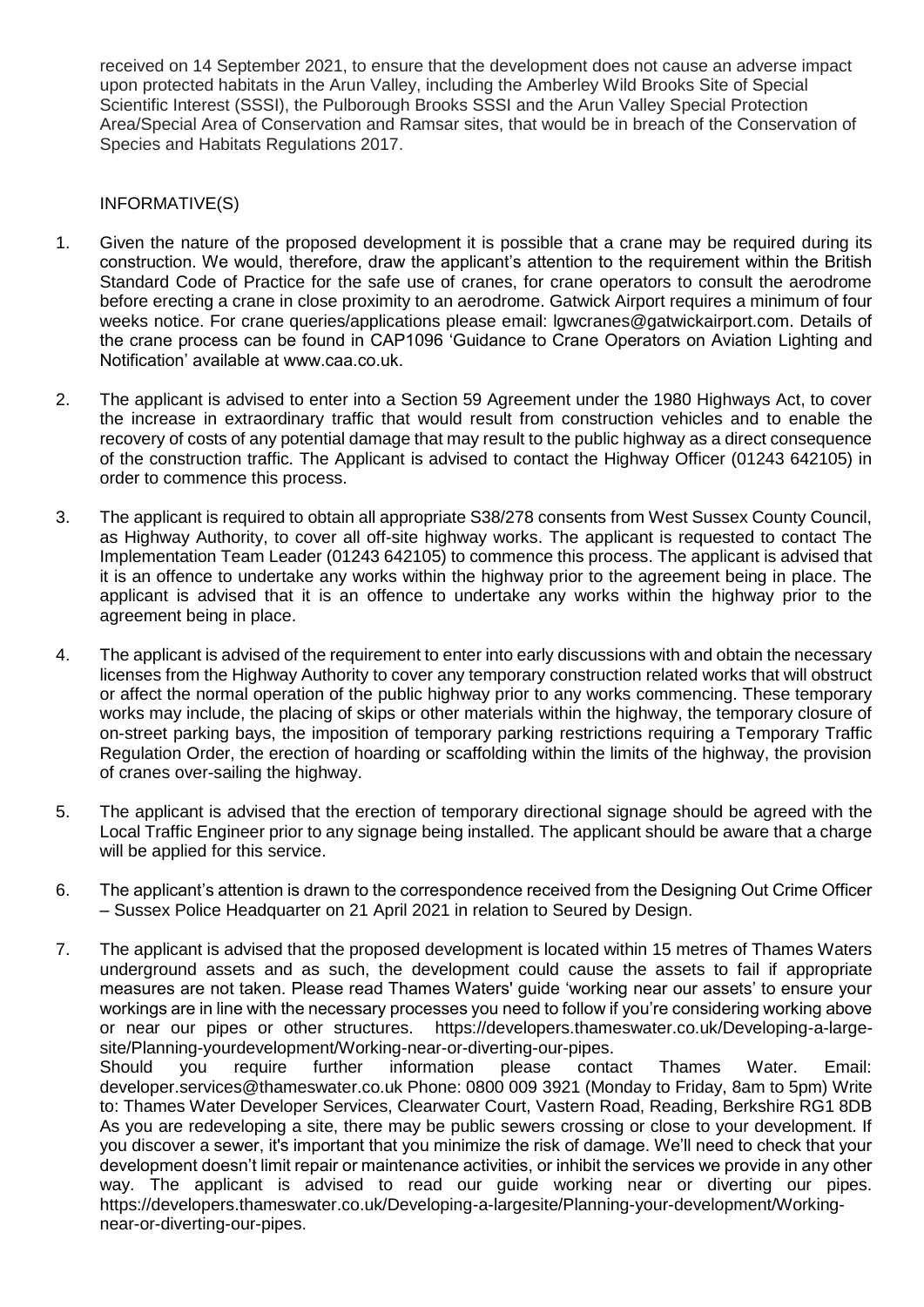received on 14 September 2021, to ensure that the development does not cause an adverse impact upon protected habitats in the Arun Valley, including the Amberley Wild Brooks Site of Special Scientific Interest (SSSI), the Pulborough Brooks SSSI and the Arun Valley Special Protection Area/Special Area of Conservation and Ramsar sites, that would be in breach of the Conservation of Species and Habitats Regulations 2017.

## INFORMATIVE(S)

- 1. Given the nature of the proposed development it is possible that a crane may be required during its construction. We would, therefore, draw the applicant's attention to the requirement within the British Standard Code of Practice for the safe use of cranes, for crane operators to consult the aerodrome before erecting a crane in close proximity to an aerodrome. Gatwick Airport requires a minimum of four weeks notice. For crane queries/applications please email: lgwcranes@gatwickairport.com. Details of the crane process can be found in CAP1096 'Guidance to Crane Operators on Aviation Lighting and Notification' available at www.caa.co.uk.
- 2. The applicant is advised to enter into a Section 59 Agreement under the 1980 Highways Act, to cover the increase in extraordinary traffic that would result from construction vehicles and to enable the recovery of costs of any potential damage that may result to the public highway as a direct consequence of the construction traffic. The Applicant is advised to contact the Highway Officer (01243 642105) in order to commence this process.
- 3. The applicant is required to obtain all appropriate S38/278 consents from West Sussex County Council, as Highway Authority, to cover all off-site highway works. The applicant is requested to contact The Implementation Team Leader (01243 642105) to commence this process. The applicant is advised that it is an offence to undertake any works within the highway prior to the agreement being in place. The applicant is advised that it is an offence to undertake any works within the highway prior to the agreement being in place.
- 4. The applicant is advised of the requirement to enter into early discussions with and obtain the necessary licenses from the Highway Authority to cover any temporary construction related works that will obstruct or affect the normal operation of the public highway prior to any works commencing. These temporary works may include, the placing of skips or other materials within the highway, the temporary closure of on-street parking bays, the imposition of temporary parking restrictions requiring a Temporary Traffic Regulation Order, the erection of hoarding or scaffolding within the limits of the highway, the provision of cranes over-sailing the highway.
- 5. The applicant is advised that the erection of temporary directional signage should be agreed with the Local Traffic Engineer prior to any signage being installed. The applicant should be aware that a charge will be applied for this service.
- 6. The applicant's attention is drawn to the correspondence received from the Designing Out Crime Officer – Sussex Police Headquarter on 21 April 2021 in relation to Seured by Design.
- 7. The applicant is advised that the proposed development is located within 15 metres of Thames Waters underground assets and as such, the development could cause the assets to fail if appropriate measures are not taken. Please read Thames Waters' guide 'working near our assets' to ensure your workings are in line with the necessary processes you need to follow if you're considering working above or near our pipes or other structures. https://developers.thameswater.co.uk/Developing-a-largesite/Planning-yourdevelopment/Working-near-or-diverting-our-pipes.

Should you require further information please contact Thames Water. Email: developer.services@thameswater.co.uk Phone: 0800 009 3921 (Monday to Friday, 8am to 5pm) Write to: Thames Water Developer Services, Clearwater Court, Vastern Road, Reading, Berkshire RG1 8DB As you are redeveloping a site, there may be public sewers crossing or close to your development. If you discover a sewer, it's important that you minimize the risk of damage. We'll need to check that your development doesn't limit repair or maintenance activities, or inhibit the services we provide in any other way. The applicant is advised to read our guide working near or diverting our pipes. https://developers.thameswater.co.uk/Developing-a-largesite/Planning-your-development/Workingnear-or-diverting-our-pipes.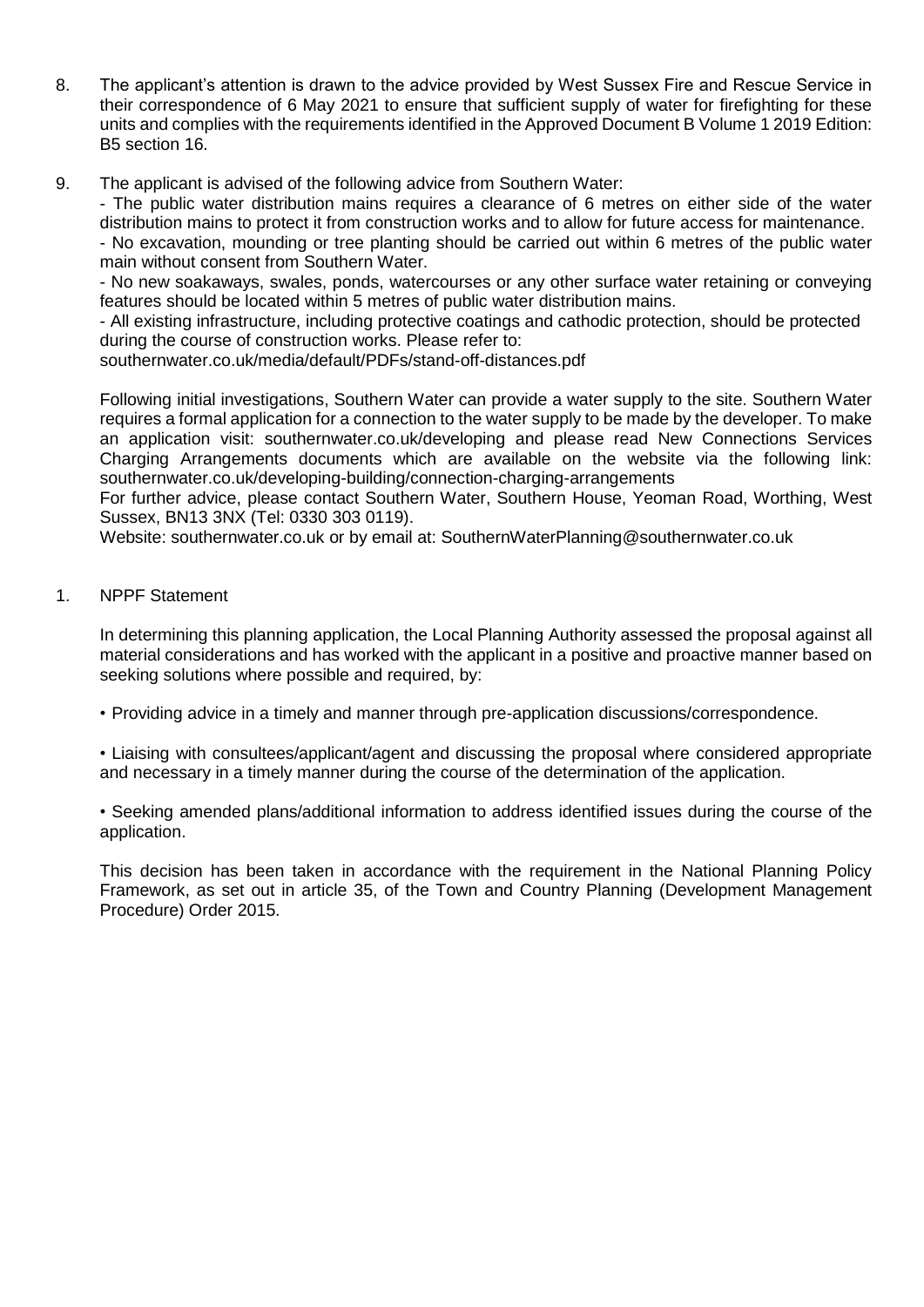- 8. The applicant's attention is drawn to the advice provided by West Sussex Fire and Rescue Service in their correspondence of 6 May 2021 to ensure that sufficient supply of water for firefighting for these units and complies with the requirements identified in the Approved Document B Volume 1 2019 Edition: B5 section 16.
- 9. The applicant is advised of the following advice from Southern Water:

- The public water distribution mains requires a clearance of 6 metres on either side of the water distribution mains to protect it from construction works and to allow for future access for maintenance.

- No excavation, mounding or tree planting should be carried out within 6 metres of the public water main without consent from Southern Water.

- No new soakaways, swales, ponds, watercourses or any other surface water retaining or conveying features should be located within 5 metres of public water distribution mains.

- All existing infrastructure, including protective coatings and cathodic protection, should be protected during the course of construction works. Please refer to:

southernwater.co.uk/media/default/PDFs/stand-off-distances.pdf

Following initial investigations, Southern Water can provide a water supply to the site. Southern Water requires a formal application for a connection to the water supply to be made by the developer. To make an application visit: southernwater.co.uk/developing and please read New Connections Services Charging Arrangements documents which are available on the website via the following link: southernwater.co.uk/developing-building/connection-charging-arrangements

For further advice, please contact Southern Water, Southern House, Yeoman Road, Worthing, West Sussex, BN13 3NX (Tel: 0330 303 0119).

Website: southernwater.co.uk or by email at: SouthernWaterPlanning@southernwater.co.uk

1. NPPF Statement

In determining this planning application, the Local Planning Authority assessed the proposal against all material considerations and has worked with the applicant in a positive and proactive manner based on seeking solutions where possible and required, by:

• Providing advice in a timely and manner through pre-application discussions/correspondence.

• Liaising with consultees/applicant/agent and discussing the proposal where considered appropriate and necessary in a timely manner during the course of the determination of the application.

• Seeking amended plans/additional information to address identified issues during the course of the application.

This decision has been taken in accordance with the requirement in the National Planning Policy Framework, as set out in article 35, of the Town and Country Planning (Development Management Procedure) Order 2015.